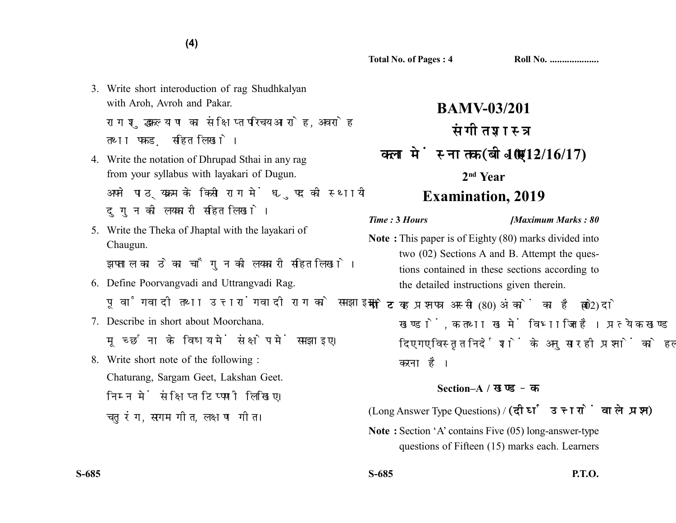3. Write short interoduction of rag Shudhkalyan with Aroh, Avroh and Pakar.

**(4)**

राग शद्धकल्याण का संक्षिप्त परिचय आरोह. अवरोह तथा पकड सहित लिखो।

- 4. Write the notation of Dhrupad Sthai in any rag from your syllabus with layakari of Dugun. अपने पाठयक्रम के किसी राग में ध्रपद की स्थायी दुगुन की लयकारी सहित लिखो।
- 5. Write the Theka of Jhaptal with the layakari of Chaugun.

झपताल का ठेका चौगन की लयकारी सहित लिखो।

- 6. Define Poorvangvadi and Uttrangvadi Rag. पूर्वांगवादी तथा उत्तरांगवादी राग को समझाइए।
- 7. Describe in short about Moorchana. मुच्छना के विषय में संक्षेप में समझाइए।
- 8. Write short note of the following : Chaturang, Sargam Geet, Lakshan Geet. निम्न में संक्षिप्त टिप्पणी लिखिए। चतुरंग, सरगम गीत, लक्षण गीत।

## **BAMV-03/201** संगीत शास्त्र **10/12/16/17) 2nd Year Examination, 2019**

*Time :* **3** *Hours [Maximum Marks : 80*

- **Note :** This paper is of Eighty (80) marks divided into two (02) Sections A and B. Attempt the questions contained in these sections according to the detailed instructions given therein.
- नोट: यह प्रश्नपत्र अस्सी (80) अंकों का है जो दो (02) खण्डों. क तथा ख में विभाजित है। प्रत्येक खण्ड में दिए गए विस्तृत निर्देशों के अनुसार ही प्रश्नों को हल करना है।

## **Section–A /**

(Long Answer Type Questions) / (दीर्घ उत्तरों वाले प्रश्न)

**Note :** Section 'A' contains Five (05) long-answer-type questions of Fifteen (15) marks each. Learners